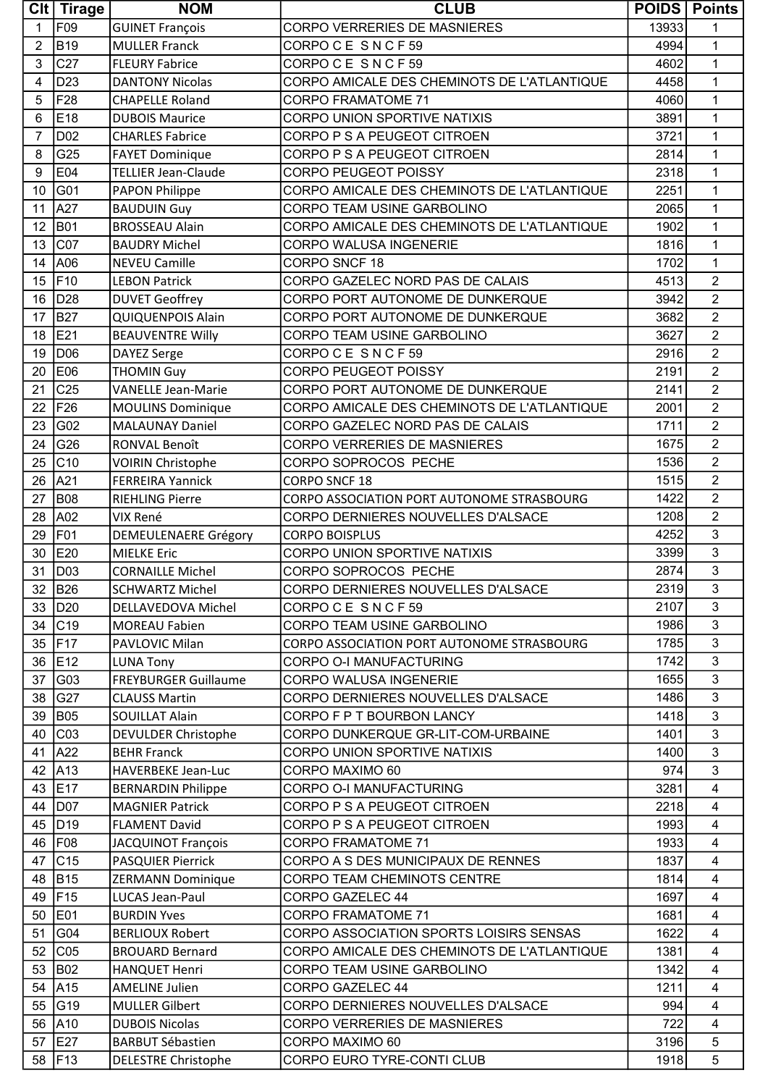|                | Clt   Tirage    | <b>NOM</b>                  | <b>CLUB</b>                                 | <b>POIDS   Points</b> |                |
|----------------|-----------------|-----------------------------|---------------------------------------------|-----------------------|----------------|
| 1              | F09             | <b>GUINET François</b>      | <b>CORPO VERRERIES DE MASNIERES</b>         | 13933                 | 1              |
| 2              | <b>B19</b>      | <b>MULLER Franck</b>        | CORPOCE SNCF59                              | 4994                  | $\mathbf{1}$   |
| 3              | C <sub>27</sub> | <b>FLEURY Fabrice</b>       | CORPOCE SNCF59                              | 4602                  | $\mathbf{1}$   |
| 4              | D <sub>23</sub> | <b>DANTONY Nicolas</b>      | CORPO AMICALE DES CHEMINOTS DE L'ATLANTIQUE | 4458                  | $\mathbf{1}$   |
| 5              | F <sub>28</sub> | <b>CHAPELLE Roland</b>      | <b>CORPO FRAMATOME 71</b>                   | 4060                  | $\mathbf{1}$   |
| 6              | E18             | <b>DUBOIS Maurice</b>       | <b>CORPO UNION SPORTIVE NATIXIS</b>         | 3891                  | $\mathbf{1}$   |
| $\overline{7}$ | D <sub>02</sub> | <b>CHARLES Fabrice</b>      | CORPO P S A PEUGEOT CITROEN                 | 3721                  | 1              |
| 8              | G25             | <b>FAYET Dominique</b>      | CORPO P S A PEUGEOT CITROEN                 | 2814                  | $\mathbf{1}$   |
| 9              | E04             | <b>TELLIER Jean-Claude</b>  | <b>CORPO PEUGEOT POISSY</b>                 | 2318                  | $\mathbf{1}$   |
| 10             | G01             | PAPON Philippe              | CORPO AMICALE DES CHEMINOTS DE L'ATLANTIQUE | 2251                  | $\mathbf{1}$   |
| 11             | A27             |                             | CORPO TEAM USINE GARBOLINO                  |                       | $\mathbf 1$    |
|                |                 | <b>BAUDUIN Guy</b>          |                                             | 2065                  |                |
| 12             | <b>B01</b>      | <b>BROSSEAU Alain</b>       | CORPO AMICALE DES CHEMINOTS DE L'ATLANTIQUE | 1902                  | $\mathbf{1}$   |
| 13             | CO7             | <b>BAUDRY Michel</b>        | CORPO WALUSA INGENERIE                      | 1816                  | 1              |
| 14             | A06             | <b>NEVEU Camille</b>        | CORPO SNCF 18                               | 1702                  | $\mathbf 1$    |
| 15             | F <sub>10</sub> | <b>LEBON Patrick</b>        | CORPO GAZELEC NORD PAS DE CALAIS            | 4513                  | $\overline{2}$ |
| 16             | D <sub>28</sub> | <b>DUVET Geoffrey</b>       | CORPO PORT AUTONOME DE DUNKERQUE            | 3942                  | $\overline{c}$ |
| 17             | <b>B27</b>      | <b>QUIQUENPOIS Alain</b>    | CORPO PORT AUTONOME DE DUNKERQUE            | 3682                  | $\overline{2}$ |
| 18             | E21             | <b>BEAUVENTRE Willy</b>     | CORPO TEAM USINE GARBOLINO                  | 3627                  | $\overline{2}$ |
| 19             | D06             | DAYEZ Serge                 | CORPOCE SNCF59                              | 2916                  | $\overline{2}$ |
| 20             | E06             | <b>THOMIN Guy</b>           | <b>CORPO PEUGEOT POISSY</b>                 | 2191                  | $\overline{2}$ |
| 21             | C <sub>25</sub> | <b>VANELLE Jean-Marie</b>   | CORPO PORT AUTONOME DE DUNKERQUE            | 2141                  | $\overline{2}$ |
| 22             | F <sub>26</sub> | <b>MOULINS Dominique</b>    | CORPO AMICALE DES CHEMINOTS DE L'ATLANTIQUE | 2001                  | $\overline{2}$ |
| 23             | G02             | <b>MALAUNAY Daniel</b>      | CORPO GAZELEC NORD PAS DE CALAIS            | 1711                  | $\overline{2}$ |
| 24             | G26             | RONVAL Benoît               | <b>CORPO VERRERIES DE MASNIERES</b>         | 1675                  | $\overline{2}$ |
| 25             | C <sub>10</sub> | <b>VOIRIN Christophe</b>    | CORPO SOPROCOS PECHE                        | 1536                  | $\overline{2}$ |
| 26             | A21             | <b>FERREIRA Yannick</b>     | CORPO SNCF 18                               | 1515                  | $\overline{2}$ |
| 27             | <b>B08</b>      | <b>RIEHLING Pierre</b>      | CORPO ASSOCIATION PORT AUTONOME STRASBOURG  | 1422                  | $\overline{2}$ |
| 28             | A02             | VIX René                    | CORPO DERNIERES NOUVELLES D'ALSACE          | 1208                  | $\overline{2}$ |
| 29             | F01             | <b>DEMEULENAERE Grégory</b> | <b>CORPO BOISPLUS</b>                       | 4252                  | 3              |
| 30             | E20             | <b>MIELKE Eric</b>          | <b>CORPO UNION SPORTIVE NATIXIS</b>         | 3399                  | 3              |
| 31             | D <sub>03</sub> | <b>CORNAILLE Michel</b>     | CORPO SOPROCOS PECHE                        | 2874                  | 3              |
| 32             | <b>B26</b>      | <b>SCHWARTZ Michel</b>      | CORPO DERNIERES NOUVELLES D'ALSACE          | 2319                  | 3              |
| 33             | D <sub>20</sub> | <b>DELLAVEDOVA Michel</b>   | CORPOCE SNCF59                              | 2107                  | 3              |
| 34             | C19             | MOREAU Fabien               | CORPO TEAM USINE GARBOLINO                  | 1986                  | 3              |
| 35             | F17             | <b>PAVLOVIC Milan</b>       | CORPO ASSOCIATION PORT AUTONOME STRASBOURG  | 1785                  | 3              |
| 36             | E <sub>12</sub> | <b>LUNA Tony</b>            | CORPO O-I MANUFACTURING                     | 1742                  | 3              |
| 37             | G03             | <b>FREYBURGER Guillaume</b> | CORPO WALUSA INGENERIE                      | 1655                  | 3              |
| 38             | G27             |                             | CORPO DERNIERES NOUVELLES D'ALSACE          | 1486                  | 3              |
|                |                 | <b>CLAUSS Martin</b>        | CORPO F P T BOURBON LANCY                   |                       | 3              |
| 39             | <b>B05</b>      | <b>SOUILLAT Alain</b>       |                                             | 1418                  |                |
| 40             | CO <sub>3</sub> | <b>DEVULDER Christophe</b>  | CORPO DUNKERQUE GR-LIT-COM-URBAINE          | 1401                  | 3              |
| 41             | A22             | <b>BEHR Franck</b>          | <b>CORPO UNION SPORTIVE NATIXIS</b>         | 1400                  | 3              |
| 42             | A <sub>13</sub> | HAVERBEKE Jean-Luc          | CORPO MAXIMO 60                             | 974                   | 3              |
| 43             | E <sub>17</sub> | <b>BERNARDIN Philippe</b>   | CORPO O-I MANUFACTURING                     | 3281                  | $\overline{4}$ |
| 44             | D <sub>07</sub> | <b>MAGNIER Patrick</b>      | CORPO P S A PEUGEOT CITROEN                 | 2218                  | $\overline{4}$ |
| 45             | D <sub>19</sub> | <b>FLAMENT David</b>        | CORPO P S A PEUGEOT CITROEN                 | 1993                  | 4              |
| 46             | F08             | <b>JACQUINOT François</b>   | <b>CORPO FRAMATOME 71</b>                   | 1933                  | $\overline{4}$ |
| 47             | C <sub>15</sub> | <b>PASQUIER Pierrick</b>    | CORPO A S DES MUNICIPAUX DE RENNES          | 1837                  | $\overline{4}$ |
| 48             | <b>B15</b>      | <b>ZERMANN Dominique</b>    | CORPO TEAM CHEMINOTS CENTRE                 | 1814                  | 4              |
| 49             | F15             | LUCAS Jean-Paul             | <b>CORPO GAZELEC 44</b>                     | 1697                  | $\overline{4}$ |
| 50             | E01             | <b>BURDIN Yves</b>          | <b>CORPO FRAMATOME 71</b>                   | 1681                  | $\overline{4}$ |
| 51             | G04             | <b>BERLIOUX Robert</b>      | CORPO ASSOCIATION SPORTS LOISIRS SENSAS     | 1622                  | 4              |
| 52             | C <sub>05</sub> | <b>BROUARD Bernard</b>      | CORPO AMICALE DES CHEMINOTS DE L'ATLANTIQUE | 1381                  | 4              |
| 53             | B02             | <b>HANQUET Henri</b>        | CORPO TEAM USINE GARBOLINO                  | 1342                  | $\overline{4}$ |
| 54             | A <sub>15</sub> | <b>AMELINE Julien</b>       | <b>CORPO GAZELEC 44</b>                     | 1211                  | 4              |
| 55             | G19             | <b>MULLER Gilbert</b>       | CORPO DERNIERES NOUVELLES D'ALSACE          | 994                   | 4              |
| 56             | A10             | <b>DUBOIS Nicolas</b>       | <b>CORPO VERRERIES DE MASNIERES</b>         | 722                   | $\overline{4}$ |
| 57             | E27             | <b>BARBUT Sébastien</b>     | CORPO MAXIMO 60                             | 3196                  | $\overline{5}$ |
| 58             | F13             | <b>DELESTRE Christophe</b>  | CORPO EURO TYRE-CONTI CLUB                  | 1918                  | 5              |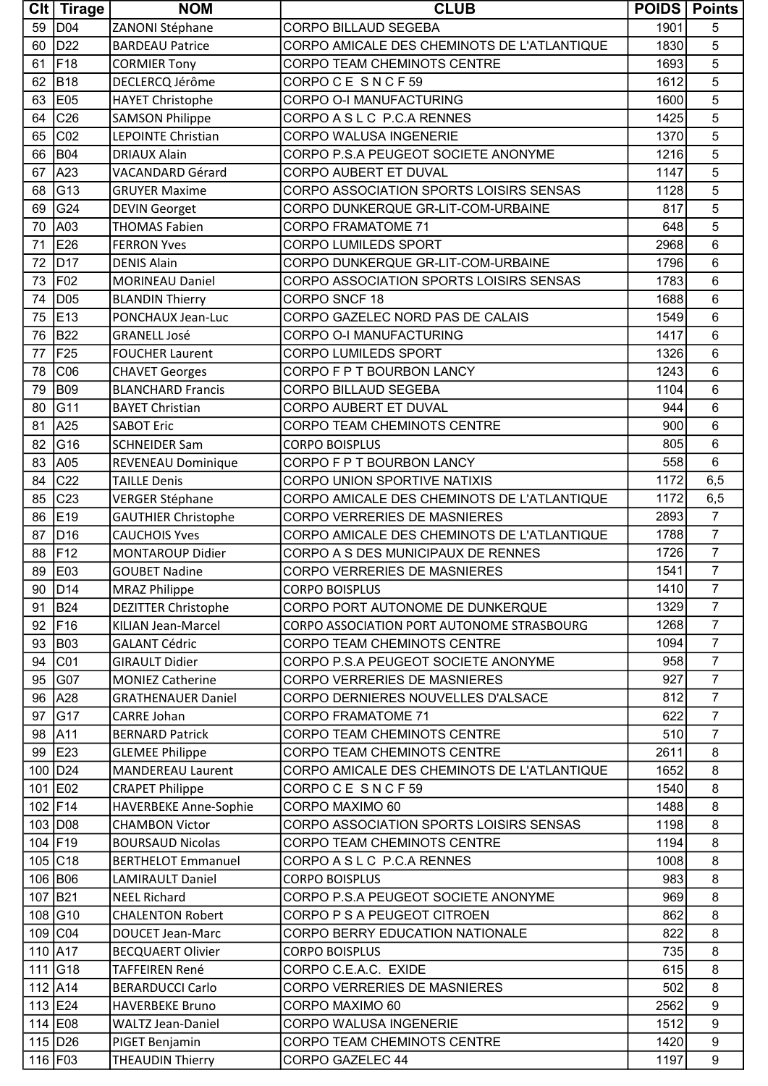|                | Clt   Tirage    | <b>NOM</b>                   | <b>CLUB</b>                                                | <b>POIDS   Points</b> |                |
|----------------|-----------------|------------------------------|------------------------------------------------------------|-----------------------|----------------|
| 59             | D <sub>04</sub> | ZANONI Stéphane              | <b>CORPO BILLAUD SEGEBA</b>                                | 1901                  | 5              |
| 60             | D <sub>22</sub> | <b>BARDEAU Patrice</b>       | CORPO AMICALE DES CHEMINOTS DE L'ATLANTIQUE                | 1830                  | 5              |
| 61             | F <sub>18</sub> | <b>CORMIER Tony</b>          | CORPO TEAM CHEMINOTS CENTRE                                | 1693                  | 5              |
| 62             | <b>B18</b>      | DECLERCQ Jérôme              | CORPOCE SNCF59                                             | 1612                  | 5              |
| 63             | E05             | <b>HAYET Christophe</b>      | CORPO O-I MANUFACTURING                                    | 1600                  | 5              |
| 64             | C <sub>26</sub> | <b>SAMSON Philippe</b>       | CORPO A S L C P.C.A RENNES                                 | 1425                  | 5              |
| 65             | CO <sub>2</sub> | <b>LEPOINTE Christian</b>    | CORPO WALUSA INGENERIE                                     | 1370                  | 5              |
| 66             | <b>B04</b>      | <b>DRIAUX Alain</b>          | CORPO P.S.A PEUGEOT SOCIETE ANONYME                        | 1216                  | 5              |
| 67             | A23             | <b>VACANDARD Gérard</b>      | CORPO AUBERT ET DUVAL                                      | 1147                  | 5              |
| 68             | G13             | <b>GRUYER Maxime</b>         | CORPO ASSOCIATION SPORTS LOISIRS SENSAS                    | 1128                  | 5              |
| 69             | G24             | <b>DEVIN Georget</b>         | CORPO DUNKERQUE GR-LIT-COM-URBAINE                         | 817                   | 5              |
| 70             | A03             | <b>THOMAS Fabien</b>         | <b>CORPO FRAMATOME 71</b>                                  | 648                   | 5              |
| 71             | E26             |                              |                                                            | 2968                  | $6\phantom{1}$ |
|                |                 | <b>FERRON Yves</b>           | CORPO LUMILEDS SPORT<br>CORPO DUNKERQUE GR-LIT-COM-URBAINE | 1796                  | $6\phantom{a}$ |
| 72             | D <sub>17</sub> | <b>DENIS Alain</b>           |                                                            |                       |                |
| 73             | F <sub>02</sub> | <b>MORINEAU Daniel</b>       | CORPO ASSOCIATION SPORTS LOISIRS SENSAS                    | 1783                  | $6\phantom{1}$ |
| 74             | D <sub>05</sub> | <b>BLANDIN Thierry</b>       | CORPO SNCF 18                                              | 1688                  | $6\phantom{1}$ |
| 75             | E13             | PONCHAUX Jean-Luc            | CORPO GAZELEC NORD PAS DE CALAIS                           | 1549                  | $6\phantom{1}$ |
| 76             | <b>B22</b>      | <b>GRANELL José</b>          | CORPO O-I MANUFACTURING                                    | 1417                  | $6\phantom{1}$ |
| 77             | F25             | <b>FOUCHER Laurent</b>       | <b>CORPO LUMILEDS SPORT</b>                                | 1326                  | $6\phantom{1}$ |
| 78             | CO6             | <b>CHAVET Georges</b>        | CORPO F P T BOURBON LANCY                                  | 1243                  | $6\phantom{1}$ |
| 79             | <b>B09</b>      | <b>BLANCHARD Francis</b>     | CORPO BILLAUD SEGEBA                                       | 1104                  | $6\phantom{1}$ |
| 80             | G11             | <b>BAYET Christian</b>       | CORPO AUBERT ET DUVAL                                      | 944                   | $6\phantom{1}$ |
| 81             | A25             | <b>SABOT Eric</b>            | CORPO TEAM CHEMINOTS CENTRE                                | 900                   | 6              |
| 82             | G16             | <b>SCHNEIDER Sam</b>         | <b>CORPO BOISPLUS</b>                                      | 805                   | $6\phantom{1}$ |
| 83             | A05             | REVENEAU Dominique           | CORPO F P T BOURBON LANCY                                  | 558                   | $6\phantom{1}$ |
| 84             | C <sub>22</sub> | <b>TAILLE Denis</b>          | CORPO UNION SPORTIVE NATIXIS                               | 1172                  | 6, 5           |
| 85             | C <sub>23</sub> | <b>VERGER Stéphane</b>       | CORPO AMICALE DES CHEMINOTS DE L'ATLANTIQUE                | 1172                  | 6, 5           |
| 86             | E <sub>19</sub> | <b>GAUTHIER Christophe</b>   | CORPO VERRERIES DE MASNIERES                               | 2893                  | $\overline{7}$ |
| 87             | D <sub>16</sub> | <b>CAUCHOIS Yves</b>         | CORPO AMICALE DES CHEMINOTS DE L'ATLANTIQUE                | 1788                  | $\overline{7}$ |
| 88             | F12             | <b>MONTAROUP Didier</b>      | CORPO A S DES MUNICIPAUX DE RENNES                         | 1726                  | $\overline{7}$ |
| 89             | E03             | <b>GOUBET Nadine</b>         | CORPO VERRERIES DE MASNIERES                               | 1541                  | $\overline{7}$ |
| 90             | D14             | <b>MRAZ Philippe</b>         | <b>CORPO BOISPLUS</b>                                      | 1410                  | $\overline{7}$ |
| 91             | <b>B24</b>      | <b>DEZITTER Christophe</b>   | CORPO PORT AUTONOME DE DUNKERQUE                           | 1329                  | $\overline{7}$ |
| 92             | F16             | KILIAN Jean-Marcel           | CORPO ASSOCIATION PORT AUTONOME STRASBOURG                 | 1268                  | $\overline{7}$ |
| 93             | <b>B03</b>      | <b>GALANT Cédric</b>         | CORPO TEAM CHEMINOTS CENTRE                                | 1094                  | $\overline{7}$ |
| 94             | C <sub>01</sub> | <b>GIRAULT Didier</b>        | CORPO P.S.A PEUGEOT SOCIETE ANONYME                        | 958                   | $\overline{7}$ |
| 95             | G07             | <b>MONIEZ Catherine</b>      | <b>CORPO VERRERIES DE MASNIERES</b>                        | 927                   | $\overline{7}$ |
| 96             | A28             | <b>GRATHENAUER Daniel</b>    | CORPO DERNIERES NOUVELLES D'ALSACE                         | 812                   | $\overline{7}$ |
| 97             | G17             | <b>CARRE Johan</b>           | <b>CORPO FRAMATOME 71</b>                                  | 622                   | $\overline{7}$ |
| 98             | A11             | <b>BERNARD Patrick</b>       | CORPO TEAM CHEMINOTS CENTRE                                | 510                   | $\overline{7}$ |
| 99             | E23             | <b>GLEMEE Philippe</b>       | CORPO TEAM CHEMINOTS CENTRE                                | 2611                  | 8              |
|                | D24             |                              | CORPO AMICALE DES CHEMINOTS DE L'ATLANTIQUE                | 1652                  | 8              |
| 100            | E02             | <b>MANDEREAU Laurent</b>     | CORPOCE SNCF59                                             | 1540                  |                |
| 101<br>102 F14 |                 | <b>CRAPET Philippe</b>       | CORPO MAXIMO 60                                            |                       | 8<br>8         |
|                |                 | <b>HAVERBEKE Anne-Sophie</b> |                                                            | 1488                  |                |
| 103            | D08             | <b>CHAMBON Victor</b>        | CORPO ASSOCIATION SPORTS LOISIRS SENSAS                    | 1198                  | 8              |
| 104 F19        |                 | <b>BOURSAUD Nicolas</b>      | <b>CORPO TEAM CHEMINOTS CENTRE</b>                         | 1194                  | 8              |
| 105            | C18             | <b>BERTHELOT Emmanuel</b>    | CORPO A S L C P.C.A RENNES                                 | 1008                  | 8              |
| 106            | <b>B06</b>      | <b>LAMIRAULT Daniel</b>      | <b>CORPO BOISPLUS</b>                                      | 983                   | 8              |
| 107            | B21             | <b>NEEL Richard</b>          | CORPO P.S.A PEUGEOT SOCIETE ANONYME                        | 969                   | 8              |
| 108            | G10             | <b>CHALENTON Robert</b>      | CORPO P S A PEUGEOT CITROEN                                | 862                   | 8              |
| 109            | CO4             | <b>DOUCET Jean-Marc</b>      | CORPO BERRY EDUCATION NATIONALE                            | 822                   | 8              |
| 110 A17        |                 | <b>BECQUAERT Olivier</b>     | <b>CORPO BOISPLUS</b>                                      | 735                   | 8              |
| 111            | G18             | TAFFEIREN René               | CORPO C.E.A.C. EXIDE                                       | 615                   | 8              |
| 112 A14        |                 | <b>BERARDUCCI Carlo</b>      | CORPO VERRERIES DE MASNIERES                               | 502                   | 8              |
| 113 E24        |                 | <b>HAVERBEKE Bruno</b>       | CORPO MAXIMO 60                                            | 2562                  | 9              |
| 114            | E <sub>08</sub> | <b>WALTZ Jean-Daniel</b>     | CORPO WALUSA INGENERIE                                     | 1512                  | 9              |
|                | 115 $D26$       | PIGET Benjamin               | CORPO TEAM CHEMINOTS CENTRE                                | 1420                  | 9              |
| 116 F03        |                 | <b>THEAUDIN Thierry</b>      | CORPO GAZELEC 44                                           | 1197                  | 9              |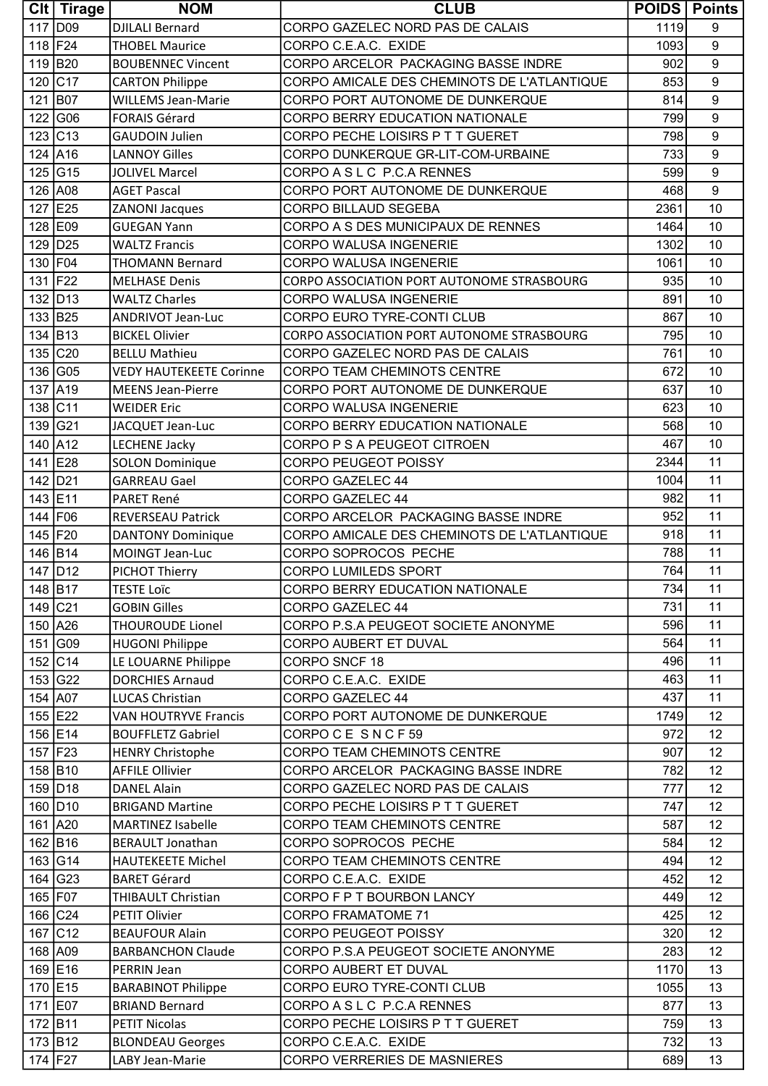|         | Clt   Tirage        | <b>NOM</b>                     | <b>CLUB</b>                                 | <b>POIDS   Points</b> |                  |
|---------|---------------------|--------------------------------|---------------------------------------------|-----------------------|------------------|
| 117     | D <sub>09</sub>     | <b>DJILALI Bernard</b>         | CORPO GAZELEC NORD PAS DE CALAIS            | 1119                  | 9                |
| 118 F24 |                     | <b>THOBEL Maurice</b>          | CORPO C.E.A.C. EXIDE                        | 1093                  | 9                |
| 119     | <b>B20</b>          | <b>BOUBENNEC Vincent</b>       | CORPO ARCELOR PACKAGING BASSE INDRE         | 902                   | 9                |
| 120     | C <sub>17</sub>     | <b>CARTON Philippe</b>         | CORPO AMICALE DES CHEMINOTS DE L'ATLANTIQUE | 853                   | 9                |
| 121     | <b>B07</b>          | <b>WILLEMS Jean-Marie</b>      | CORPO PORT AUTONOME DE DUNKERQUE            | 814                   | 9                |
| 122     | G06                 | <b>FORAIS Gérard</b>           | <b>CORPO BERRY EDUCATION NATIONALE</b>      | 799                   | 9                |
| 123     | C <sub>13</sub>     | <b>GAUDOIN Julien</b>          | CORPO PECHE LOISIRS P T T GUERET            | 798                   | 9                |
| 124     | A16                 | <b>LANNOY Gilles</b>           | CORPO DUNKERQUE GR-LIT-COM-URBAINE          | 733                   | $\boldsymbol{9}$ |
| 125     | G15                 | <b>JOLIVEL Marcel</b>          | CORPO A S L C P.C.A RENNES                  | 599                   | 9                |
| 126     | A08                 | <b>AGET Pascal</b>             | CORPO PORT AUTONOME DE DUNKERQUE            | 468                   | 9                |
|         | E25                 |                                | <b>CORPO BILLAUD SEGEBA</b>                 |                       | 10               |
| 127     |                     | <b>ZANONI Jacques</b>          |                                             | 2361                  |                  |
| 128     | E09                 | <b>GUEGAN Yann</b>             | CORPO A S DES MUNICIPAUX DE RENNES          | 1464                  | 10               |
| 129     | D <sub>25</sub>     | <b>WALTZ Francis</b>           | <b>CORPO WALUSA INGENERIE</b>               | 1302                  | 10               |
| 130     | F <sub>04</sub>     | <b>THOMANN Bernard</b>         | <b>CORPO WALUSA INGENERIE</b>               | 1061                  | 10               |
| 131     | F22                 | <b>MELHASE Denis</b>           | CORPO ASSOCIATION PORT AUTONOME STRASBOURG  | 935                   | 10               |
| 132     | D <sub>13</sub>     | <b>WALTZ Charles</b>           | <b>CORPO WALUSA INGENERIE</b>               | 891                   | 10               |
| 133     | <b>B25</b>          | <b>ANDRIVOT Jean-Luc</b>       | <b>CORPO EURO TYRE-CONTI CLUB</b>           | 867                   | 10               |
| 134     | <b>B</b> 13         | <b>BICKEL Olivier</b>          | CORPO ASSOCIATION PORT AUTONOME STRASBOURG  | 795                   | 10               |
| 135     | C <sub>20</sub>     | <b>BELLU Mathieu</b>           | CORPO GAZELEC NORD PAS DE CALAIS            | 761                   | 10               |
| 136     | G <sub>05</sub>     | <b>VEDY HAUTEKEETE Corinne</b> | <b>CORPO TEAM CHEMINOTS CENTRE</b>          | 672                   | 10               |
| 137     | A19                 | <b>MEENS Jean-Pierre</b>       | CORPO PORT AUTONOME DE DUNKERQUE            | 637                   | 10               |
| 138     | C <sub>11</sub>     | <b>WEIDER Eric</b>             | <b>CORPO WALUSA INGENERIE</b>               | 623                   | 10               |
| 139     | G21                 | JACQUET Jean-Luc               | CORPO BERRY EDUCATION NATIONALE             | 568                   | 10               |
| 140     | A12                 | <b>LECHENE Jacky</b>           | CORPO P S A PEUGEOT CITROEN                 | 467                   | 10               |
| 141     | E28                 | <b>SOLON Dominique</b>         | <b>CORPO PEUGEOT POISSY</b>                 | 2344                  | 11               |
| 142     | D <sub>21</sub>     | <b>GARREAU Gael</b>            | CORPO GAZELEC 44                            | 1004                  | 11               |
| 143     | E11                 | PARET René                     | <b>CORPO GAZELEC 44</b>                     | 982                   | 11               |
| 144     | F06                 | <b>REVERSEAU Patrick</b>       | CORPO ARCELOR PACKAGING BASSE INDRE         | 952                   | 11               |
| 145     | F <sub>20</sub>     | <b>DANTONY Dominique</b>       | CORPO AMICALE DES CHEMINOTS DE L'ATLANTIQUE | 918                   | 11               |
|         | 146 B14             | MOINGT Jean-Luc                | CORPO SOPROCOS PECHE                        | 788                   | 11               |
|         | 147 D <sub>12</sub> | PICHOT Thierry                 | <b>CORPO LUMILEDS SPORT</b>                 | 764                   | 11               |
| 148 B17 |                     | <b>TESTE Loïc</b>              | CORPO BERRY EDUCATION NATIONALE             | 734                   | 11               |
| 149     | C <sub>21</sub>     | <b>GOBIN Gilles</b>            | <b>CORPO GAZELEC 44</b>                     | 731                   | 11               |
|         | 150 A26             | <b>THOUROUDE Lionel</b>        | CORPO P.S.A PEUGEOT SOCIETE ANONYME         | 596                   | 11               |
| 151     | G09                 | <b>HUGONI Philippe</b>         | CORPO AUBERT ET DUVAL                       | 564                   | 11               |
| 152     | C <sub>14</sub>     | LE LOUARNE Philippe            | CORPO SNCF 18                               | 496                   | 11               |
| 153     | G22                 | <b>DORCHIES Arnaud</b>         | CORPO C.E.A.C. EXIDE                        | 463                   | 11               |
| 154     | A07                 | <b>LUCAS Christian</b>         | <b>CORPO GAZELEC 44</b>                     | 437                   | 11               |
| 155     | E22                 | <b>VAN HOUTRYVE Francis</b>    | CORPO PORT AUTONOME DE DUNKERQUE            | 1749                  | 12               |
|         | 156 E14             |                                |                                             | 972                   | 12               |
|         |                     | <b>BOUFFLETZ Gabriel</b>       | CORPO CE SNCF59                             |                       |                  |
| 157     | F23                 | <b>HENRY Christophe</b>        | CORPO TEAM CHEMINOTS CENTRE                 | 907                   | 12               |
| 158     | <b>B10</b>          | <b>AFFILE Ollivier</b>         | CORPO ARCELOR PACKAGING BASSE INDRE         | 782                   | 12               |
|         | 159 D <sub>18</sub> | <b>DANEL Alain</b>             | CORPO GAZELEC NORD PAS DE CALAIS            | 777                   | 12               |
| 160     | D <sub>10</sub>     | <b>BRIGAND Martine</b>         | CORPO PECHE LOISIRS P T T GUERET            | 747                   | 12               |
| 161     | A20                 | <b>MARTINEZ Isabelle</b>       | <b>CORPO TEAM CHEMINOTS CENTRE</b>          | 587                   | 12               |
|         | 162 B16             | <b>BERAULT Jonathan</b>        | CORPO SOPROCOS PECHE                        | 584                   | 12               |
| 163     | G14                 | <b>HAUTEKEETE Michel</b>       | <b>CORPO TEAM CHEMINOTS CENTRE</b>          | 494                   | 12               |
| 164     | G23                 | <b>BARET Gérard</b>            | CORPO C.E.A.C. EXIDE                        | 452                   | 12               |
| 165     | F <sub>07</sub>     | THIBAULT Christian             | CORPO F P T BOURBON LANCY                   | 449                   | 12               |
| 166     | C <sub>24</sub>     | <b>PETIT Olivier</b>           | <b>CORPO FRAMATOME 71</b>                   | 425                   | 12               |
| 167     | C <sub>12</sub>     | <b>BEAUFOUR Alain</b>          | <b>CORPO PEUGEOT POISSY</b>                 | 320                   | 12               |
| 168     | A09                 | <b>BARBANCHON Claude</b>       | CORPO P.S.A PEUGEOT SOCIETE ANONYME         | 283                   | 12               |
| 169     | E16                 | PERRIN Jean                    | CORPO AUBERT ET DUVAL                       | 1170                  | 13               |
| 170     | E15                 | <b>BARABINOT Philippe</b>      | CORPO EURO TYRE-CONTI CLUB                  | 1055                  | 13               |
| 171     | <b>E07</b>          | <b>BRIAND Bernard</b>          | CORPO A S L C P.C.A RENNES                  | 877                   | 13               |
| 172 B11 |                     | <b>PETIT Nicolas</b>           | CORPO PECHE LOISIRS P T T GUERET            | 759                   | 13               |
|         | 173 B12             | <b>BLONDEAU Georges</b>        | CORPO C.E.A.C. EXIDE                        | 732                   | 13               |
| 174 F27 |                     | LABY Jean-Marie                | <b>CORPO VERRERIES DE MASNIERES</b>         | 689                   | 13               |